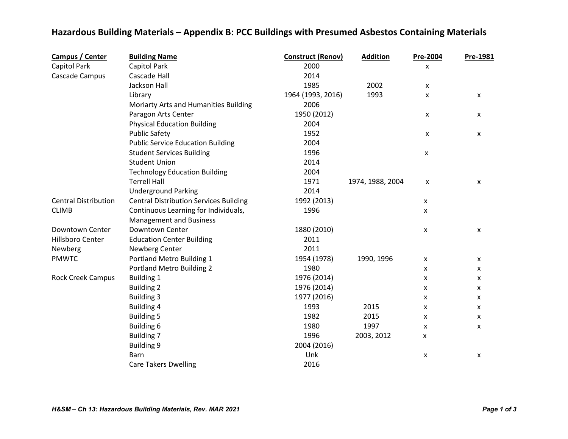## **Hazardous Building Materials – Appendix B: PCC Buildings with Presumed Asbestos Containing Materials**

| Campus / Center             | <b>Building Name</b>                          | <b>Construct (Renov)</b> | <b>Addition</b>  | Pre-2004                  | Pre-1981           |
|-----------------------------|-----------------------------------------------|--------------------------|------------------|---------------------------|--------------------|
| Capitol Park                | Capitol Park                                  | 2000                     |                  | X                         |                    |
| Cascade Campus              | Cascade Hall                                  | 2014                     |                  |                           |                    |
|                             | Jackson Hall                                  | 1985                     | 2002             | $\boldsymbol{\mathsf{x}}$ |                    |
|                             | Library                                       | 1964 (1993, 2016)        | 1993             | X                         | X                  |
|                             | Moriarty Arts and Humanities Building         | 2006                     |                  |                           |                    |
|                             | Paragon Arts Center                           | 1950 (2012)              |                  | X                         | X                  |
|                             | <b>Physical Education Building</b>            | 2004                     |                  |                           |                    |
|                             | <b>Public Safety</b>                          | 1952                     |                  | $\pmb{\mathsf{x}}$        | $\pmb{\mathsf{X}}$ |
|                             | <b>Public Service Education Building</b>      | 2004                     |                  |                           |                    |
|                             | <b>Student Services Building</b>              | 1996                     |                  | X                         |                    |
|                             | <b>Student Union</b>                          | 2014                     |                  |                           |                    |
|                             | <b>Technology Education Building</b>          | 2004                     |                  |                           |                    |
|                             | <b>Terrell Hall</b>                           | 1971                     | 1974, 1988, 2004 | X                         | X                  |
|                             | <b>Underground Parking</b>                    | 2014                     |                  |                           |                    |
| <b>Central Distribution</b> | <b>Central Distribution Services Building</b> | 1992 (2013)              |                  | X                         |                    |
| <b>CLIMB</b>                | Continuous Learning for Individuals,          | 1996                     |                  | $\mathsf{x}$              |                    |
|                             | <b>Management and Business</b>                |                          |                  |                           |                    |
| Downtown Center             | Downtown Center                               | 1880 (2010)              |                  | $\pmb{\mathsf{X}}$        | X                  |
| Hillsboro Center            | <b>Education Center Building</b>              | 2011                     |                  |                           |                    |
| Newberg                     | Newberg Center                                | 2011                     |                  |                           |                    |
| <b>PMWTC</b>                | Portland Metro Building 1                     | 1954 (1978)              | 1990, 1996       | $\pmb{\mathsf{X}}$        | $\mathsf{x}$       |
|                             | <b>Portland Metro Building 2</b>              | 1980                     |                  | X                         | X                  |
| <b>Rock Creek Campus</b>    | <b>Building 1</b>                             | 1976 (2014)              |                  | X                         | X                  |
|                             | <b>Building 2</b>                             | 1976 (2014)              |                  | X                         | X                  |
|                             | <b>Building 3</b>                             | 1977 (2016)              |                  | X                         | X                  |
|                             | <b>Building 4</b>                             | 1993                     | 2015             | X                         | X                  |
|                             | <b>Building 5</b>                             | 1982                     | 2015             | X                         | X                  |
|                             | Building 6                                    | 1980                     | 1997             | X                         | X                  |
|                             | <b>Building 7</b>                             | 1996                     | 2003, 2012       | x                         |                    |
|                             | <b>Building 9</b>                             | 2004 (2016)              |                  |                           |                    |
|                             | Barn                                          | Unk                      |                  | X                         | X                  |
|                             | <b>Care Takers Dwelling</b>                   | 2016                     |                  |                           |                    |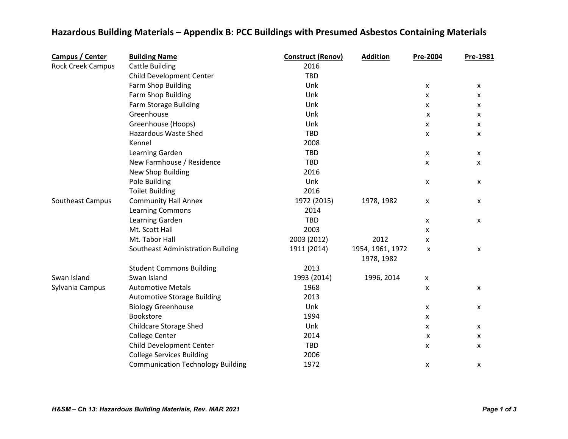## **Hazardous Building Materials – Appendix B: PCC Buildings with Presumed Asbestos Containing Materials**

| Campus / Center          | <b>Building Name</b>                     | <b>Construct (Renov)</b> | <b>Addition</b>  | Pre-2004                  | Pre-1981 |
|--------------------------|------------------------------------------|--------------------------|------------------|---------------------------|----------|
| <b>Rock Creek Campus</b> | <b>Cattle Building</b>                   | 2016                     |                  |                           |          |
|                          | Child Development Center                 | TBD                      |                  |                           |          |
|                          | Farm Shop Building                       | Unk                      |                  | X                         | X        |
|                          | Farm Shop Building                       | Unk                      |                  | X                         | X        |
|                          | <b>Farm Storage Building</b>             | Unk                      |                  | X                         | x        |
|                          | Greenhouse                               | Unk                      |                  | X                         | x        |
|                          | Greenhouse (Hoops)                       | Unk                      |                  | X                         | X        |
|                          | Hazardous Waste Shed                     | TBD                      |                  | X                         | X        |
|                          | Kennel                                   | 2008                     |                  |                           |          |
|                          | Learning Garden                          | <b>TBD</b>               |                  | X                         | X        |
|                          | New Farmhouse / Residence                | <b>TBD</b>               |                  | x                         | x        |
|                          | New Shop Building                        | 2016                     |                  |                           |          |
|                          | Pole Building                            | Unk                      |                  | X                         | X        |
|                          | <b>Toilet Building</b>                   | 2016                     |                  |                           |          |
| Southeast Campus         | <b>Community Hall Annex</b>              | 1972 (2015)              | 1978, 1982       | X                         | X        |
|                          | <b>Learning Commons</b>                  | 2014                     |                  |                           |          |
|                          | Learning Garden                          | <b>TBD</b>               |                  | X                         | x        |
|                          | Mt. Scott Hall                           | 2003                     |                  | X                         |          |
|                          | Mt. Tabor Hall                           | 2003 (2012)              | 2012             | X                         |          |
|                          | Southeast Administration Building        | 1911 (2014)              | 1954, 1961, 1972 | x                         | X        |
|                          |                                          |                          | 1978, 1982       |                           |          |
|                          | <b>Student Commons Building</b>          | 2013                     |                  |                           |          |
| Swan Island              | Swan Island                              | 1993 (2014)              | 1996, 2014       | $\boldsymbol{\mathsf{x}}$ |          |
| Sylvania Campus          | <b>Automotive Metals</b>                 | 1968                     |                  | X                         | x        |
|                          | <b>Automotive Storage Building</b>       | 2013                     |                  |                           |          |
|                          | <b>Biology Greenhouse</b>                | Unk                      |                  | X                         | X        |
|                          | Bookstore                                | 1994                     |                  | X                         |          |
|                          | <b>Childcare Storage Shed</b>            | Unk                      |                  | X                         | X        |
|                          | <b>College Center</b>                    | 2014                     |                  | X                         | X        |
|                          | Child Development Center                 | TBD                      |                  | X                         | X        |
|                          | <b>College Services Building</b>         | 2006                     |                  |                           |          |
|                          | <b>Communication Technology Building</b> | 1972                     |                  | X                         | x        |